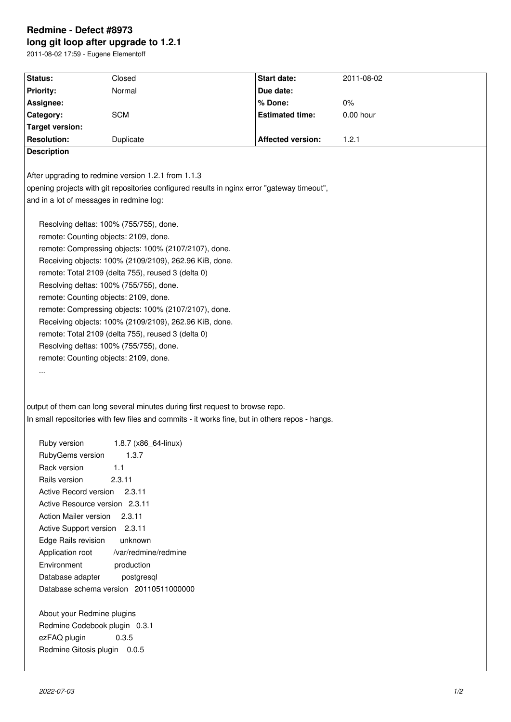# **Redmine - Defect #8973 long git loop after upgrade to 1.2.1**

2011-08-02 17:59 - Eugene Elementoff

| Status:                                      | Closed                                                                                         | <b>Start date:</b>       | 2011-08-02  |  |
|----------------------------------------------|------------------------------------------------------------------------------------------------|--------------------------|-------------|--|
| <b>Priority:</b>                             | Normal                                                                                         | Due date:                |             |  |
| Assignee:                                    |                                                                                                | % Done:                  | $0\%$       |  |
| Category:                                    | <b>SCM</b>                                                                                     | <b>Estimated time:</b>   | $0.00$ hour |  |
| <b>Target version:</b><br><b>Resolution:</b> |                                                                                                | <b>Affected version:</b> | 1.2.1       |  |
| <b>Description</b>                           | Duplicate                                                                                      |                          |             |  |
|                                              |                                                                                                |                          |             |  |
|                                              | After upgrading to redmine version 1.2.1 from 1.1.3                                            |                          |             |  |
|                                              | opening projects with git repositories configured results in nginx error "gateway timeout",    |                          |             |  |
| and in a lot of messages in redmine log:     |                                                                                                |                          |             |  |
|                                              |                                                                                                |                          |             |  |
|                                              | Resolving deltas: 100% (755/755), done.                                                        |                          |             |  |
|                                              | remote: Counting objects: 2109, done.                                                          |                          |             |  |
|                                              | remote: Compressing objects: 100% (2107/2107), done.                                           |                          |             |  |
|                                              | Receiving objects: 100% (2109/2109), 262.96 KiB, done.                                         |                          |             |  |
|                                              | remote: Total 2109 (delta 755), reused 3 (delta 0)                                             |                          |             |  |
|                                              | Resolving deltas: 100% (755/755), done.                                                        |                          |             |  |
|                                              | remote: Counting objects: 2109, done.                                                          |                          |             |  |
|                                              | remote: Compressing objects: 100% (2107/2107), done.                                           |                          |             |  |
|                                              | Receiving objects: 100% (2109/2109), 262.96 KiB, done.                                         |                          |             |  |
|                                              | remote: Total 2109 (delta 755), reused 3 (delta 0)                                             |                          |             |  |
|                                              | Resolving deltas: 100% (755/755), done.                                                        |                          |             |  |
|                                              | remote: Counting objects: 2109, done.                                                          |                          |             |  |
| $\cdots$                                     |                                                                                                |                          |             |  |
|                                              |                                                                                                |                          |             |  |
|                                              |                                                                                                |                          |             |  |
|                                              | output of them can long several minutes during first request to browse repo.                   |                          |             |  |
|                                              | In small repositories with few files and commits - it works fine, but in others repos - hangs. |                          |             |  |
| Ruby version                                 |                                                                                                |                          |             |  |
| RubyGems version                             | 1.8.7 (x86_64-linux)<br>1.3.7                                                                  |                          |             |  |
| Rack version                                 | 1.1                                                                                            |                          |             |  |
| Rails version                                | 2.3.11                                                                                         |                          |             |  |
| Active Record version                        | 2.3.11                                                                                         |                          |             |  |
| Active Resource version 2.3.11               |                                                                                                |                          |             |  |
| Action Mailer version                        | 2.3.11                                                                                         |                          |             |  |
| Active Support version 2.3.11                |                                                                                                |                          |             |  |
| Edge Rails revision                          | unknown                                                                                        |                          |             |  |
| Application root                             | /var/redmine/redmine                                                                           |                          |             |  |
| Environment                                  | production                                                                                     |                          |             |  |
| Database adapter                             | postgresql                                                                                     |                          |             |  |
|                                              | Database schema version 20110511000000                                                         |                          |             |  |
|                                              |                                                                                                |                          |             |  |
| About your Redmine plugins                   |                                                                                                |                          |             |  |
|                                              |                                                                                                |                          |             |  |

Redmine Codebook plugin 0.3.1 ezFAQ plugin 0.3.5 Redmine Gitosis plugin 0.0.5